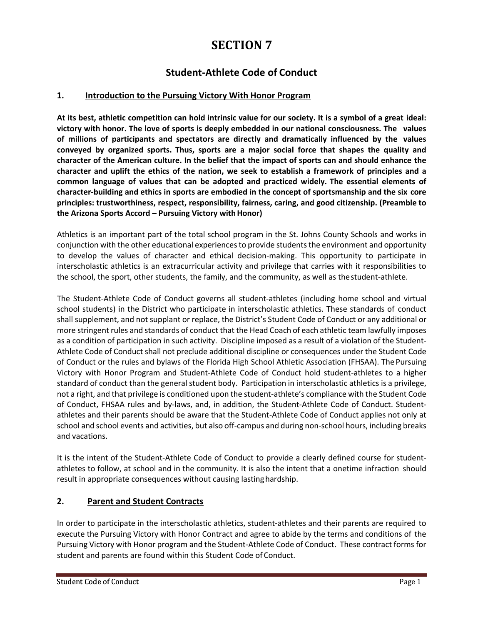### **SECTION 7**

### **Student-Athlete Code of Conduct**

### **1. Introduction to the Pursuing Victory With Honor Program**

**At its best, athletic competition can hold intrinsic value for our society. It is a symbol of a great ideal: victory with honor. The love of sports is deeply embedded in our national consciousness. The values of millions of participants and spectators are directly and dramatically influenced by the values conveyed by organized sports. Thus, sports are a major social force that shapes the quality and character of the American culture. In the belief that the impact of sports can and should enhance the**  character and uplift the ethics of the nation, we seek to establish a framework of principles and a **common language of values that can be adopted and practiced widely. The essential elements of character-building and ethics in sports are embodied in the concept of sportsmanship and the six core principles: trustworthiness, respect, responsibility, fairness, caring, and good citizenship. (Preamble to the Arizona Sports Accord – Pursuing Victory withHonor)**

Athletics is an important part of the total school program in the St. Johns County Schools and works in conjunction with the other educational experiencesto provide studentsthe environment and opportunity to develop the values of character and ethical decision-making. This opportunity to participate in interscholastic athletics is an extracurricular activity and privilege that carries with it responsibilities to the school, the sport, other students, the family, and the community, as well as thestudent-athlete.

The Student-Athlete Code of Conduct governs all student-athletes (including home school and virtual school students) in the District who participate in interscholastic athletics. These standards of conduct shall supplement, and not supplant or replace, the District's Student Code of Conduct or any additional or more stringent rules and standards of conduct that the Head Coach of each athletic team lawfully imposes as a condition of participation in such activity. Discipline imposed as a result of a violation of the Student-Athlete Code of Conduct shall not preclude additional discipline or consequences under the Student Code of Conduct or the rules and bylaws of the Florida High School Athletic Association (FHSAA). The Pursuing Victory with Honor Program and Student-Athlete Code of Conduct hold student-athletes to a higher standard of conduct than the general student body. Participation in interscholastic athletics is a privilege, not a right, and that privilege is conditioned upon the student-athlete's compliance with the Student Code of Conduct, FHSAA rules and by-laws, and, in addition, the Student-Athlete Code of Conduct. Studentathletes and their parents should be aware that the Student-Athlete Code of Conduct applies not only at school and school events and activities, but also off-campus and during non-school hours, including breaks and vacations.

It is the intent of the Student-Athlete Code of Conduct to provide a clearly defined course for studentathletes to follow, at school and in the community. It is also the intent that a onetime infraction should result in appropriate consequences without causing lastinghardship.

### **2. Parent and Student Contracts**

In order to participate in the interscholastic athletics, student-athletes and their parents are required to execute the Pursuing Victory with Honor Contract and agree to abide by the terms and conditions of the Pursuing Victory with Honor program and the Student-Athlete Code of Conduct. These contract forms for student and parents are found within this Student Code of Conduct.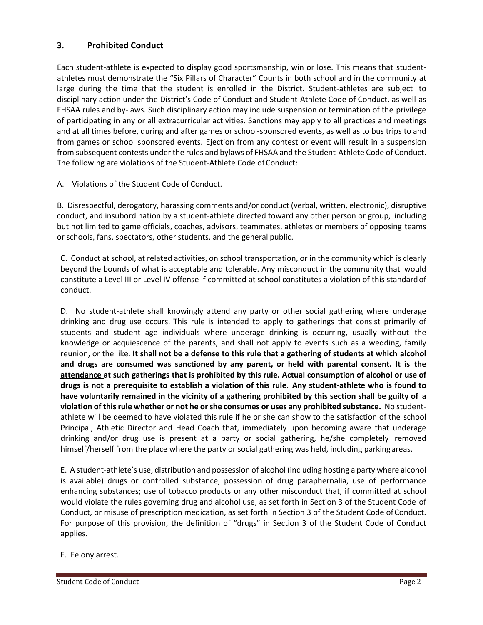### **3. Prohibited Conduct**

Each student-athlete is expected to display good sportsmanship, win or lose. This means that studentathletes must demonstrate the "Six Pillars of Character" Counts in both school and in the community at large during the time that the student is enrolled in the District. Student-athletes are subject to disciplinary action under the District's Code of Conduct and Student-Athlete Code of Conduct, as well as FHSAA rules and by-laws. Such disciplinary action may include suspension or termination of the privilege of participating in any or all extracurricular activities. Sanctions may apply to all practices and meetings and at all times before, during and after games or school-sponsored events, as well as to bus trips to and from games or school sponsored events. Ejection from any contest or event will result in a suspension from subsequent contests under the rules and bylaws of FHSAA and the Student-Athlete Code of Conduct. The following are violations of the Student-Athlete Code of Conduct:

A. Violations of the Student Code of Conduct.

B. Disrespectful, derogatory, harassing comments and/or conduct (verbal, written, electronic), disruptive conduct, and insubordination by a student-athlete directed toward any other person or group, including but not limited to game officials, coaches, advisors, teammates, athletes or members of opposing teams or schools, fans, spectators, other students, and the general public.

C. Conduct at school, at related activities, on school transportation, or in the community which is clearly beyond the bounds of what is acceptable and tolerable. Any misconduct in the community that would constitute a Level III or Level IV offense if committed at school constitutes a violation of this standardof conduct.

D. No student-athlete shall knowingly attend any party or other social gathering where underage drinking and drug use occurs. This rule is intended to apply to gatherings that consist primarily of students and student age individuals where underage drinking is occurring, usually without the knowledge or acquiescence of the parents, and shall not apply to events such as a wedding, family reunion, or the like. **It shall not be a defense to this rule that a gathering of students at which alcohol and drugs are consumed was sanctioned by any parent, or held with parental consent. It is the attendance at such gatherings that is prohibited by this rule. Actual consumption of alcohol or use of**  drugs is not a prerequisite to establish a violation of this rule. Any student-athlete who is found to **have voluntarily remained in the vicinity of a gathering prohibited by this section shall be guilty of a violation of thisrule whether or not he orshe consumes or uses any prohibited substance.** No studentathlete will be deemed to have violated this rule if he or she can show to the satisfaction of the school Principal, Athletic Director and Head Coach that, immediately upon becoming aware that underage drinking and/or drug use is present at a party or social gathering, he/she completely removed himself/herself from the place where the party or social gathering was held, including parkingareas.

E. A student-athlete's use, distribution and possession of alcohol (including hosting a party where alcohol is available) drugs or controlled substance, possession of drug paraphernalia, use of performance enhancing substances; use of tobacco products or any other misconduct that, if committed at school would violate the rules governing drug and alcohol use, as set forth in Section 3 of the Student Code of Conduct, or misuse of prescription medication, as set forth in Section 3 of the Student Code of Conduct. For purpose of this provision, the definition of "drugs" in Section 3 of the Student Code of Conduct applies.

F. Felony arrest.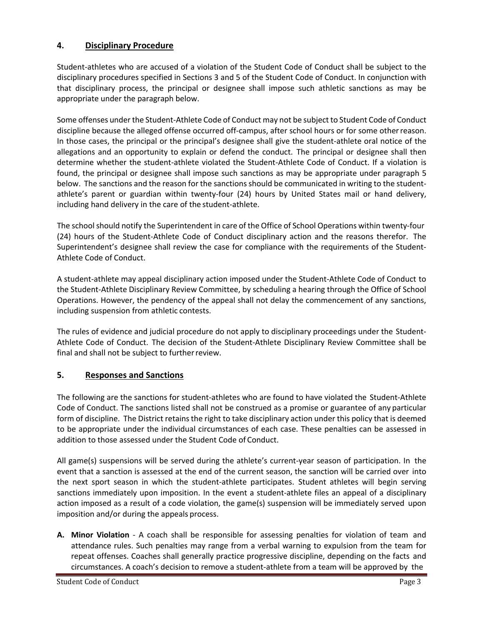### **4. Disciplinary Procedure**

Student-athletes who are accused of a violation of the Student Code of Conduct shall be subject to the disciplinary procedures specified in Sections 3 and 5 of the Student Code of Conduct. In conjunction with that disciplinary process, the principal or designee shall impose such athletic sanctions as may be appropriate under the paragraph below.

Some offenses under the Student-Athlete Code of Conduct may not be subject to Student Code of Conduct discipline because the alleged offense occurred off-campus, after school hours or for some otherreason. In those cases, the principal or the principal's designee shall give the student-athlete oral notice of the allegations and an opportunity to explain or defend the conduct. The principal or designee shall then determine whether the student-athlete violated the Student-Athlete Code of Conduct. If a violation is found, the principal or designee shall impose such sanctions as may be appropriate under paragraph 5 below. The sanctions and the reason for the sanctions should be communicated in writing to the studentathlete's parent or guardian within twenty-four (24) hours by United States mail or hand delivery, including hand delivery in the care of the student-athlete.

The school should notify the Superintendent in care of the Office of School Operations within twenty-four (24) hours of the Student-Athlete Code of Conduct disciplinary action and the reasons therefor. The Superintendent's designee shall review the case for compliance with the requirements of the Student-Athlete Code of Conduct.

A student-athlete may appeal disciplinary action imposed under the Student-Athlete Code of Conduct to the Student-Athlete Disciplinary Review Committee, by scheduling a hearing through the Office of School Operations. However, the pendency of the appeal shall not delay the commencement of any sanctions, including suspension from athletic contests.

The rules of evidence and judicial procedure do not apply to disciplinary proceedings under the Student-Athlete Code of Conduct. The decision of the Student-Athlete Disciplinary Review Committee shall be final and shall not be subject to furtherreview.

### **5. Responses and Sanctions**

The following are the sanctions for student-athletes who are found to have violated the Student-Athlete Code of Conduct. The sanctions listed shall not be construed as a promise or guarantee of any particular form of discipline. The District retains the right to take disciplinary action under this policy that is deemed to be appropriate under the individual circumstances of each case. These penalties can be assessed in addition to those assessed under the Student Code of Conduct.

All game(s) suspensions will be served during the athlete's current-year season of participation. In the event that a sanction is assessed at the end of the current season, the sanction will be carried over into the next sport season in which the student-athlete participates. Student athletes will begin serving sanctions immediately upon imposition. In the event a student-athlete files an appeal of a disciplinary action imposed as a result of a code violation, the game(s) suspension will be immediately served upon imposition and/or during the appeals process.

**A. Minor Violation** - A coach shall be responsible for assessing penalties for violation of team and attendance rules. Such penalties may range from a verbal warning to expulsion from the team for repeat offenses. Coaches shall generally practice progressive discipline, depending on the facts and circumstances. A coach's decision to remove a student-athlete from a team will be approved by the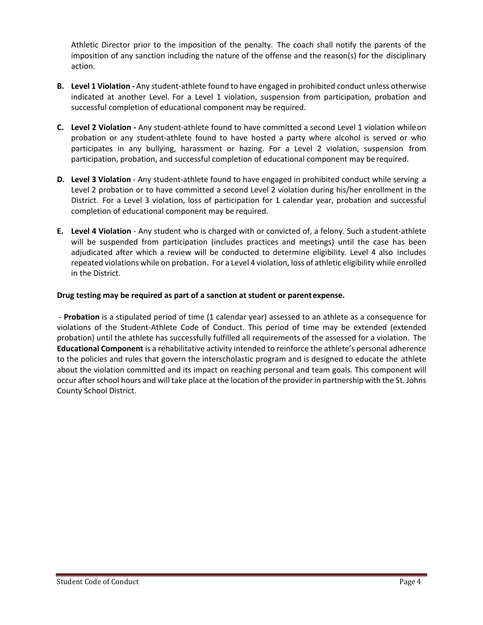Athletic Director prior to the imposition of the penalty. The coach shall notify the parents of the imposition of any sanction including the nature of the offense and the reason(s) for the disciplinary action.

- **B. Level 1 Violation -** Any student-athlete found to have engaged in prohibited conduct unless otherwise indicated at another Level. For a Level 1 violation, suspension from participation, probation and successful completion of educational component may be required.
- **C. Level 2 Violation -** Any student-athlete found to have committed a second Level 1 violation whileon probation or any student-athlete found to have hosted a party where alcohol is served or who participates in any bullying, harassment or hazing. For a Level 2 violation, suspension from participation, probation, and successful completion of educational component may be required.
- **D. Level 3 Violation**  Any student-athlete found to have engaged in prohibited conduct while serving a Level 2 probation or to have committed a second Level 2 violation during his/her enrollment in the District. For a Level 3 violation, loss of participation for 1 calendar year, probation and successful completion of educational component may be required.
- **E. Level 4 Violation**  Any student who is charged with or convicted of, a felony. Such a student-athlete will be suspended from participation (includes practices and meetings) until the case has been adjudicated after which a review will be conducted to determine eligibility. Level 4 also includes repeated violations while on probation. For a Level 4 violation, loss of athletic eligibility while enrolled in the District.

### **Drug testing may be required as part of a sanction at student or parentexpense.**

- **Probation** is a stipulated period of time (1 calendar year) assessed to an athlete as a consequence for violations of the Student-Athlete Code of Conduct. This period of time may be extended (extended probation) until the athlete has successfully fulfilled all requirements of the assessed for a violation. The **Educational Component** is a rehabilitative activity intended to reinforce the athlete's personal adherence to the policies and rules that govern the interscholastic program and is designed to educate the athlete about the violation committed and its impact on reaching personal and team goals. This component will occur after school hours and will take place at the location of the provider in partnership with the St. Johns County School District.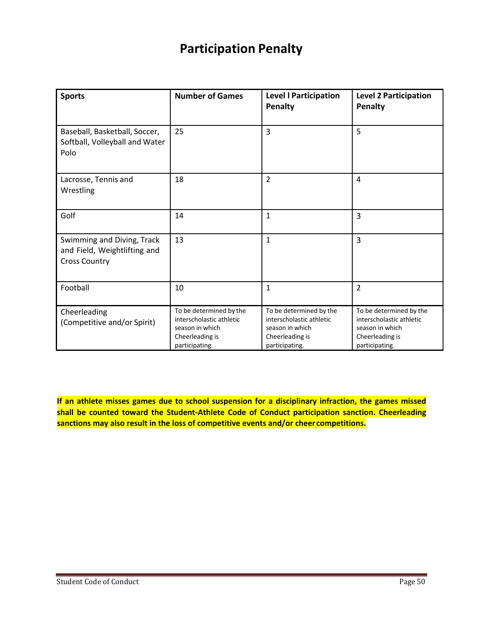## **Participation Penalty**

| <b>Sports</b>                                                                      | <b>Number of Games</b>                                                                                      | <b>Level I Participation</b><br>Penalty                                                                     | <b>Level 2 Participation</b><br>Penalty                                                                     |
|------------------------------------------------------------------------------------|-------------------------------------------------------------------------------------------------------------|-------------------------------------------------------------------------------------------------------------|-------------------------------------------------------------------------------------------------------------|
| Baseball, Basketball, Soccer,<br>Softball, Volleyball and Water<br>Polo            | 25                                                                                                          | 3                                                                                                           | 5                                                                                                           |
| Lacrosse, Tennis and<br>Wrestling                                                  | 18                                                                                                          | $\overline{2}$                                                                                              | $\overline{4}$                                                                                              |
| Golf                                                                               | 14                                                                                                          | $\mathbf{1}$                                                                                                | $\overline{3}$                                                                                              |
| Swimming and Diving, Track<br>and Field, Weightlifting and<br><b>Cross Country</b> | 13                                                                                                          | $\mathbf{1}$                                                                                                | $\overline{3}$                                                                                              |
| Football                                                                           | 10                                                                                                          | 1                                                                                                           | $\overline{2}$                                                                                              |
| Cheerleading<br>(Competitive and/or Spirit)                                        | To be determined by the<br>interscholastic athletic<br>season in which<br>Cheerleading is<br>participating. | To be determined by the<br>interscholastic athletic<br>season in which<br>Cheerleading is<br>participating. | To be determined by the<br>interscholastic athletic<br>season in which<br>Cheerleading is<br>participating. |

**If an athlete misses games due to school suspension for a disciplinary infraction, the games missed shall be counted toward the Student-Athlete Code of Conduct participation sanction. Cheerleading sanctions may also result in the loss of competitive events and/or cheer competitions.**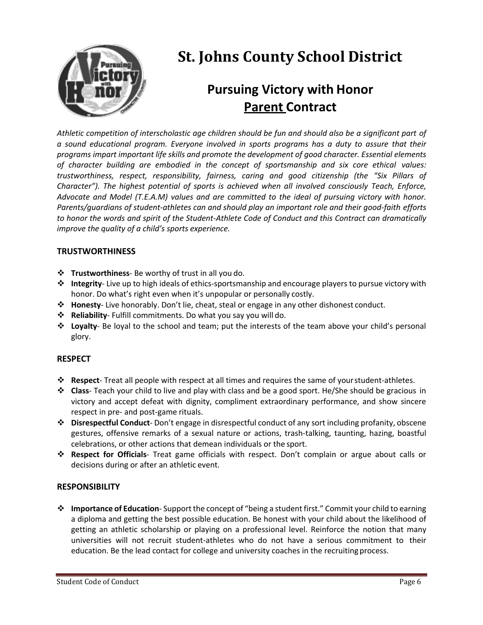

# **St. Johns County School District**

## **Pursuing Victory with Honor Parent Contract**

*Athletic competition of interscholastic age children should be fun and should also be a significant part of a sound educational program. Everyone involved in sports programs has a duty to assure that their programs impart important life skills and promote the development of good character. Essential elements of character building are embodied in the concept of sportsmanship and six core ethical values: trustworthiness, respect, responsibility, fairness, caring and good citizenship (the "Six Pillars of Character"). The highest potential of sports is achieved when all involved consciously Teach, Enforce, Advocate and Model (T.E.A.M) values and are committed to the ideal of pursuing victory with honor. Parents/guardians of student-athletes can and should play an important role and their good-faith efforts to honor the words and spirit of the Student-Athlete Code of Conduct and this Contract can dramatically improve the quality of a child's sports experience.*

### **TRUSTWORTHINESS**

- v **Trustworthiness** Be worthy of trust in all you do.
- v **Integrity** Live up to high ideals of ethics-sportsmanship and encourage players to pursue victory with honor. Do what's right even when it's unpopular or personally costly.
- v **Honesty** Live honorably. Don't lie, cheat, steal or engage in any other dishonest conduct.
- v **Reliability** Fulfill commitments. Do what you say you will do.
- v **Loyalty** Be loyal to the school and team; put the interests of the team above your child's personal glory.

### **RESPECT**

- v **Respect** Treat all people with respect at all times and requires the same of yourstudent-athletes.
- v **Class** Teach your child to live and play with class and be a good sport. He/She should be gracious in victory and accept defeat with dignity, compliment extraordinary performance, and show sincere respect in pre- and post-game rituals.
- v **Disrespectful Conduct** Don't engage in disrespectful conduct of any sort including profanity, obscene gestures, offensive remarks of a sexual nature or actions, trash-talking, taunting, hazing, boastful celebrations, or other actions that demean individuals or the sport.
- v **Respect for Officials** Treat game officials with respect. Don't complain or argue about calls or decisions during or after an athletic event.

#### **RESPONSIBILITY**

v **Importance of Education**- Support the concept of "being a student first." Commit your child to earning a diploma and getting the best possible education. Be honest with your child about the likelihood of getting an athletic scholarship or playing on a professional level. Reinforce the notion that many universities will not recruit student-athletes who do not have a serious commitment to their education. Be the lead contact for college and university coaches in the recruiting process.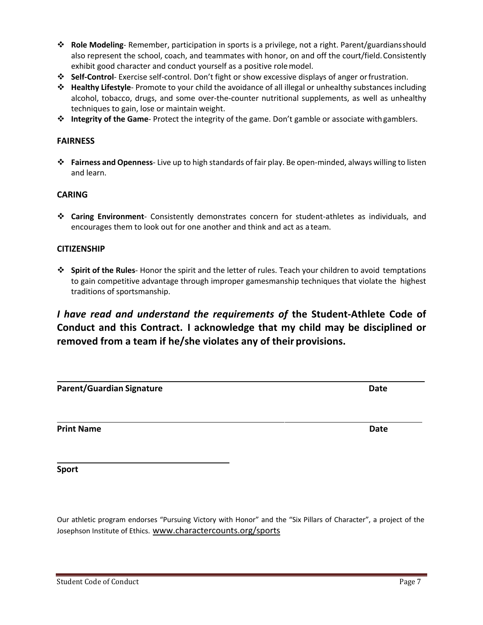- v **Role Modeling** Remember, participation in sports is a privilege, not a right. Parent/guardiansshould also represent the school, coach, and teammates with honor, on and off the court/field.Consistently exhibit good character and conduct yourself as a positive rolemodel.
- v **Self-Control** Exercise self-control. Don't fight or show excessive displays of anger orfrustration.
- v **Healthy Lifestyle** Promote to your child the avoidance of all illegal or unhealthy substances including alcohol, tobacco, drugs, and some over-the-counter nutritional supplements, as well as unhealthy techniques to gain, lose or maintain weight.
- v **Integrity of the Game** Protect the integrity of the game. Don't gamble or associate withgamblers.

#### **FAIRNESS**

v **Fairness and Openness**- Live up to high standards of fair play. Be open-minded, always willing to listen and learn.

### **CARING**

v **Caring Environment**- Consistently demonstrates concern for student-athletes as individuals, and encourages them to look out for one another and think and act as a team.

#### **CITIZENSHIP**

v **Spirit of the Rules**- Honor the spirit and the letter of rules. Teach your children to avoid temptations to gain competitive advantage through improper gamesmanship techniques that violate the highest traditions of sportsmanship.

### *I have read and understand the requirements of* **the Student-Athlete Code of Conduct and this Contract. I acknowledge that my child may be disciplined or removed from a team if he/she violates any of their provisions.**

**Parent/Guardian Signature Date**

**Print Name Date**

**Sport**

Our athletic program endorses "Pursuing Victory with Honor" and the "Six Pillars of Character", a project of the Josephson Institute of Ethics. www.charactercounts.org/sports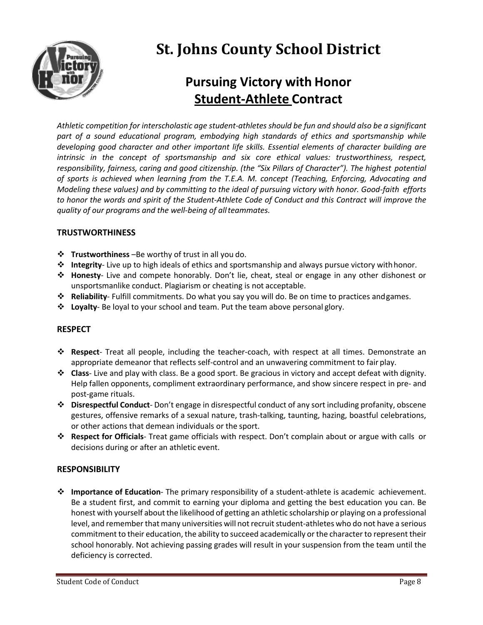

# **St. Johns County School District**

# **Pursuing Victory with Honor Student-Athlete Contract**

*Athletic competition for interscholastic age student-athletes should be fun and should also be a significant part of a sound educational program, embodying high standards of ethics and sportsmanship while developing good character and other important life skills. Essential elements of character building are intrinsic in the concept of sportsmanship and six core ethical values: trustworthiness, respect, responsibility, fairness, caring and good citizenship. (the "Six Pillars of Character"). The highest potential of sports is achieved when learning from the T.E.A. M. concept (Teaching, Enforcing, Advocating and Modeling these values) and by committing to the ideal of pursuing victory with honor. Good-faith efforts* to honor the words and spirit of the Student-Athlete Code of Conduct and this Contract will improve the *quality of our programs and the well-being of allteammates.*

### **TRUSTWORTHINESS**

- v **Trustworthiness** –Be worthy of trust in all you do.
- v **Integrity** Live up to high ideals of ethics and sportsmanship and always pursue victory withhonor.
- v **Honesty** Live and compete honorably. Don't lie, cheat, steal or engage in any other dishonest or unsportsmanlike conduct. Plagiarism or cheating is not acceptable.
- v **Reliability** Fulfill commitments. Do what you say you will do. Be on time to practices andgames.
- v **Loyalty** Be loyal to your school and team. Put the team above personal glory.

### **RESPECT**

- v **Respect** Treat all people, including the teacher-coach, with respect at all times. Demonstrate an appropriate demeanor that reflects self-control and an unwavering commitment to fair play.
- v **Class** Live and play with class. Be a good sport. Be gracious in victory and accept defeat with dignity. Help fallen opponents, compliment extraordinary performance, and show sincere respect in pre- and post-game rituals.
- v **Disrespectful Conduct** Don't engage in disrespectful conduct of any sort including profanity, obscene gestures, offensive remarks of a sexual nature, trash-talking, taunting, hazing, boastful celebrations, or other actions that demean individuals or the sport.
- v **Respect for Officials** Treat game officials with respect. Don't complain about or argue with calls or decisions during or after an athletic event.

### **RESPONSIBILITY**

v **Importance of Education**- The primary responsibility of a student-athlete is academic achievement. Be a student first, and commit to earning your diploma and getting the best education you can. Be honest with yourself about the likelihood of getting an athletic scholarship or playing on a professional level, and remember that many universities will not recruit student-athletes who do not have a serious commitment to their education, the ability to succeed academically or the character to represent their school honorably. Not achieving passing grades will result in your suspension from the team until the deficiency is corrected.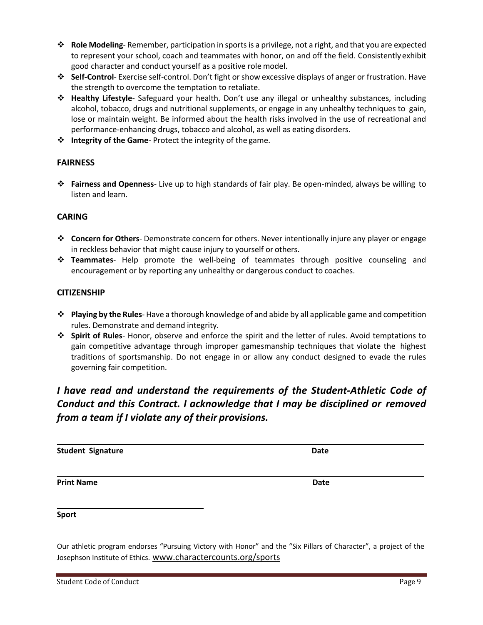- v **Role Modeling** Remember, participation in sportsis a privilege, not a right, and that you are expected to represent your school, coach and teammates with honor, on and off the field. Consistently exhibit good character and conduct yourself as a positive role model.
- v **Self-Control** Exercise self-control. Don't fight or show excessive displays of anger or frustration. Have the strength to overcome the temptation to retaliate.
- v **Healthy Lifestyle** Safeguard your health. Don't use any illegal or unhealthy substances, including alcohol, tobacco, drugs and nutritional supplements, or engage in any unhealthy techniques to gain, lose or maintain weight. Be informed about the health risks involved in the use of recreational and performance-enhancing drugs, tobacco and alcohol, as well as eating disorders.
- v **Integrity of the Game** Protect the integrity of the game.

### **FAIRNESS**

v **Fairness and Openness**- Live up to high standards of fair play. Be open-minded, always be willing to listen and learn.

### **CARING**

- v **Concern for Others** Demonstrate concern for others. Never intentionally injure any player or engage in reckless behavior that might cause injury to yourself or others.
- **<sup>❖</sup> Teammates** Help promote the well-being of teammates through positive counseling and encouragement or by reporting any unhealthy or dangerous conduct to coaches.

### **CITIZENSHIP**

- v **Playing by the Rules** Have a thorough knowledge of and abide by all applicable game and competition rules. Demonstrate and demand integrity.
- v **Spirit of Rules** Honor, observe and enforce the spirit and the letter of rules. Avoid temptations to gain competitive advantage through improper gamesmanship techniques that violate the highest traditions of sportsmanship. Do not engage in or allow any conduct designed to evade the rules governing fair competition.

### *I have read and understand the requirements of the Student-Athletic Code of Conduct and this Contract. I acknowledge that I may be disciplined or removed from a team if I violate any of their provisions.*

| <b>Student Signature</b> | Date |
|--------------------------|------|
|                          |      |

**Print Name Date**

#### **Sport**

Our athletic program endorses "Pursuing Victory with Honor" and the "Six Pillars of Character", a project of the Josephson Institute of Ethics. www.charactercounts.org/sports